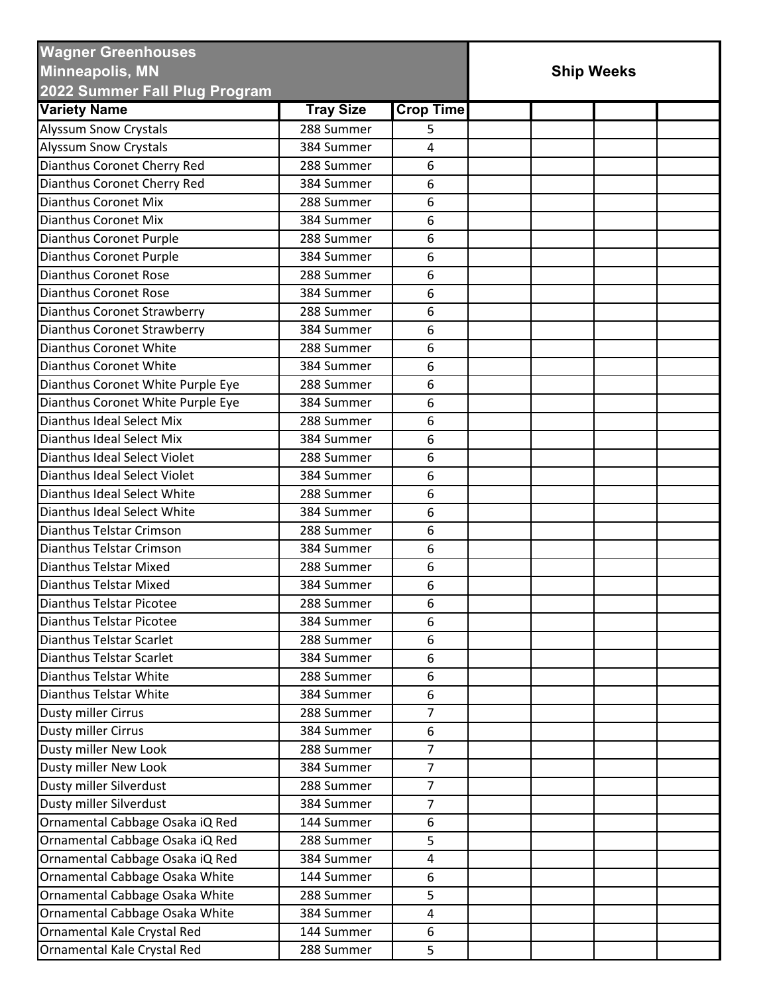| <b>Wagner Greenhouses</b><br><b>Minneapolis, MN</b>  |                  | <b>Ship Weeks</b> |  |  |  |  |
|------------------------------------------------------|------------------|-------------------|--|--|--|--|
| 2022 Summer Fall Plug Program<br><b>Variety Name</b> |                  |                   |  |  |  |  |
|                                                      | <b>Tray Size</b> | <b>Crop Time</b>  |  |  |  |  |
| <b>Alyssum Snow Crystals</b>                         | 288 Summer       | 5                 |  |  |  |  |
| <b>Alyssum Snow Crystals</b>                         | 384 Summer       | 4                 |  |  |  |  |
| Dianthus Coronet Cherry Red                          | 288 Summer       | 6                 |  |  |  |  |
| Dianthus Coronet Cherry Red                          | 384 Summer       | 6                 |  |  |  |  |
| <b>Dianthus Coronet Mix</b>                          | 288 Summer       | 6                 |  |  |  |  |
| <b>Dianthus Coronet Mix</b>                          | 384 Summer       | 6                 |  |  |  |  |
| Dianthus Coronet Purple                              | 288 Summer       | 6                 |  |  |  |  |
| Dianthus Coronet Purple                              | 384 Summer       | 6                 |  |  |  |  |
| <b>Dianthus Coronet Rose</b>                         | 288 Summer       | 6                 |  |  |  |  |
| <b>Dianthus Coronet Rose</b>                         | 384 Summer       | 6                 |  |  |  |  |
| Dianthus Coronet Strawberry                          | 288 Summer       | 6                 |  |  |  |  |
| Dianthus Coronet Strawberry                          | 384 Summer       | 6                 |  |  |  |  |
| <b>Dianthus Coronet White</b>                        | 288 Summer       | 6                 |  |  |  |  |
| Dianthus Coronet White                               | 384 Summer       | 6                 |  |  |  |  |
| Dianthus Coronet White Purple Eye                    | 288 Summer       | 6                 |  |  |  |  |
| Dianthus Coronet White Purple Eye                    | 384 Summer       | 6                 |  |  |  |  |
| Dianthus Ideal Select Mix                            | 288 Summer       | 6                 |  |  |  |  |
| Dianthus Ideal Select Mix                            | 384 Summer       | 6                 |  |  |  |  |
| Dianthus Ideal Select Violet                         | 288 Summer       | 6                 |  |  |  |  |
| Dianthus Ideal Select Violet                         | 384 Summer       | 6                 |  |  |  |  |
| Dianthus Ideal Select White                          | 288 Summer       | 6                 |  |  |  |  |
| Dianthus Ideal Select White                          | 384 Summer       | 6                 |  |  |  |  |
| Dianthus Telstar Crimson                             | 288 Summer       | 6                 |  |  |  |  |
| <b>Dianthus Telstar Crimson</b>                      | 384 Summer       | 6                 |  |  |  |  |
| <b>Dianthus Telstar Mixed</b>                        | 288 Summer       | 6                 |  |  |  |  |
| Dianthus Telstar Mixed                               | 384 Summer       | 6                 |  |  |  |  |
| Dianthus Telstar Picotee                             | 288 Summer       | 6                 |  |  |  |  |
| <b>Dianthus Telstar Picotee</b>                      | 384 Summer       | 6                 |  |  |  |  |
| Dianthus Telstar Scarlet                             | 288 Summer       | 6                 |  |  |  |  |
| Dianthus Telstar Scarlet                             | 384 Summer       | 6                 |  |  |  |  |
| Dianthus Telstar White                               | 288 Summer       | 6                 |  |  |  |  |
| Dianthus Telstar White                               | 384 Summer       | 6                 |  |  |  |  |
| Dusty miller Cirrus                                  | 288 Summer       | $\overline{7}$    |  |  |  |  |
| Dusty miller Cirrus                                  | 384 Summer       | 6                 |  |  |  |  |
| Dusty miller New Look                                | 288 Summer       | $\overline{7}$    |  |  |  |  |
| Dusty miller New Look                                | 384 Summer       | $\overline{7}$    |  |  |  |  |
| Dusty miller Silverdust                              | 288 Summer       | $\overline{7}$    |  |  |  |  |
| Dusty miller Silverdust                              | 384 Summer       | $\overline{7}$    |  |  |  |  |
| Ornamental Cabbage Osaka iQ Red                      | 144 Summer       | 6                 |  |  |  |  |
| Ornamental Cabbage Osaka iQ Red                      | 288 Summer       | 5                 |  |  |  |  |
|                                                      | 384 Summer       |                   |  |  |  |  |
| Ornamental Cabbage Osaka iQ Red                      |                  | 4                 |  |  |  |  |
| Ornamental Cabbage Osaka White                       | 144 Summer       | 6                 |  |  |  |  |
| Ornamental Cabbage Osaka White                       | 288 Summer       | 5                 |  |  |  |  |
| Ornamental Cabbage Osaka White                       | 384 Summer       | 4                 |  |  |  |  |
| Ornamental Kale Crystal Red                          | 144 Summer       | 6                 |  |  |  |  |
| Ornamental Kale Crystal Red                          | 288 Summer       | 5                 |  |  |  |  |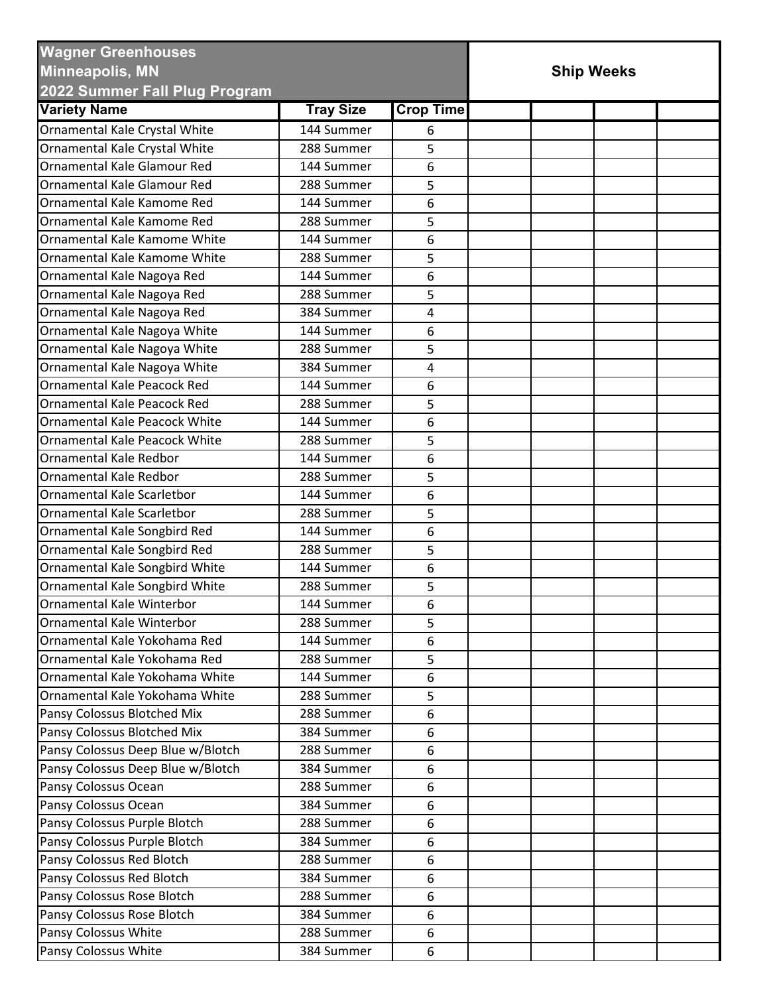| <b>Wagner Greenhouses</b><br><b>Minneapolis, MN</b><br>2022 Summer Fall Plug Program |                  |                  | <b>Ship Weeks</b> |  |  |
|--------------------------------------------------------------------------------------|------------------|------------------|-------------------|--|--|
| <b>Variety Name</b>                                                                  | <b>Tray Size</b> | <b>Crop Time</b> |                   |  |  |
|                                                                                      | 144 Summer       |                  |                   |  |  |
| Ornamental Kale Crystal White                                                        | 288 Summer       | 6<br>5           |                   |  |  |
| Ornamental Kale Crystal White<br><b>Ornamental Kale Glamour Red</b>                  | 144 Summer       |                  |                   |  |  |
|                                                                                      |                  | 6                |                   |  |  |
| Ornamental Kale Glamour Red                                                          | 288 Summer       | 5                |                   |  |  |
| Ornamental Kale Kamome Red                                                           | 144 Summer       | 6                |                   |  |  |
| Ornamental Kale Kamome Red                                                           | 288 Summer       | 5                |                   |  |  |
| Ornamental Kale Kamome White                                                         | 144 Summer       | 6                |                   |  |  |
| Ornamental Kale Kamome White                                                         | 288 Summer       | 5                |                   |  |  |
| Ornamental Kale Nagoya Red                                                           | 144 Summer       | 6                |                   |  |  |
| Ornamental Kale Nagoya Red                                                           | 288 Summer       | 5                |                   |  |  |
| Ornamental Kale Nagoya Red                                                           | 384 Summer       | 4                |                   |  |  |
| Ornamental Kale Nagoya White                                                         | 144 Summer       | 6                |                   |  |  |
| Ornamental Kale Nagoya White                                                         | 288 Summer       | 5                |                   |  |  |
| Ornamental Kale Nagoya White                                                         | 384 Summer       | 4                |                   |  |  |
| <b>Ornamental Kale Peacock Red</b>                                                   | 144 Summer       | 6                |                   |  |  |
| <b>Ornamental Kale Peacock Red</b>                                                   | 288 Summer       | 5                |                   |  |  |
| Ornamental Kale Peacock White                                                        | 144 Summer       | 6                |                   |  |  |
| <b>Ornamental Kale Peacock White</b>                                                 | 288 Summer       | 5                |                   |  |  |
| Ornamental Kale Redbor                                                               | 144 Summer       | 6                |                   |  |  |
| <b>Ornamental Kale Redbor</b>                                                        | 288 Summer       | 5                |                   |  |  |
| Ornamental Kale Scarletbor                                                           | 144 Summer       | 6                |                   |  |  |
| Ornamental Kale Scarletbor                                                           | 288 Summer       | 5                |                   |  |  |
| Ornamental Kale Songbird Red                                                         | 144 Summer       | 6                |                   |  |  |
| Ornamental Kale Songbird Red                                                         | 288 Summer       | 5                |                   |  |  |
| Ornamental Kale Songbird White                                                       | 144 Summer       | 6                |                   |  |  |
| Ornamental Kale Songbird White                                                       | 288 Summer       | 5                |                   |  |  |
| Ornamental Kale Winterbor                                                            | 144 Summer       | 6                |                   |  |  |
| Ornamental Kale Winterbor                                                            | 288 Summer       | 5                |                   |  |  |
| Ornamental Kale Yokohama Red                                                         | 144 Summer       | 6                |                   |  |  |
| Ornamental Kale Yokohama Red                                                         | 288 Summer       | 5                |                   |  |  |
| Ornamental Kale Yokohama White                                                       | 144 Summer       | 6                |                   |  |  |
| Ornamental Kale Yokohama White                                                       | 288 Summer       | 5                |                   |  |  |
| Pansy Colossus Blotched Mix                                                          | 288 Summer       | 6                |                   |  |  |
| Pansy Colossus Blotched Mix                                                          | 384 Summer       | 6                |                   |  |  |
| Pansy Colossus Deep Blue w/Blotch                                                    | 288 Summer       | 6                |                   |  |  |
| Pansy Colossus Deep Blue w/Blotch                                                    | 384 Summer       | 6                |                   |  |  |
| Pansy Colossus Ocean                                                                 | 288 Summer       | 6                |                   |  |  |
| Pansy Colossus Ocean                                                                 | 384 Summer       | 6                |                   |  |  |
| Pansy Colossus Purple Blotch                                                         | 288 Summer       | 6                |                   |  |  |
| Pansy Colossus Purple Blotch                                                         | 384 Summer       | 6                |                   |  |  |
| Pansy Colossus Red Blotch                                                            | 288 Summer       | 6                |                   |  |  |
| Pansy Colossus Red Blotch                                                            | 384 Summer       | 6                |                   |  |  |
| Pansy Colossus Rose Blotch                                                           | 288 Summer       | 6                |                   |  |  |
| Pansy Colossus Rose Blotch                                                           | 384 Summer       | 6                |                   |  |  |
| Pansy Colossus White                                                                 | 288 Summer       | 6                |                   |  |  |
| Pansy Colossus White                                                                 | 384 Summer       | 6                |                   |  |  |
|                                                                                      |                  |                  |                   |  |  |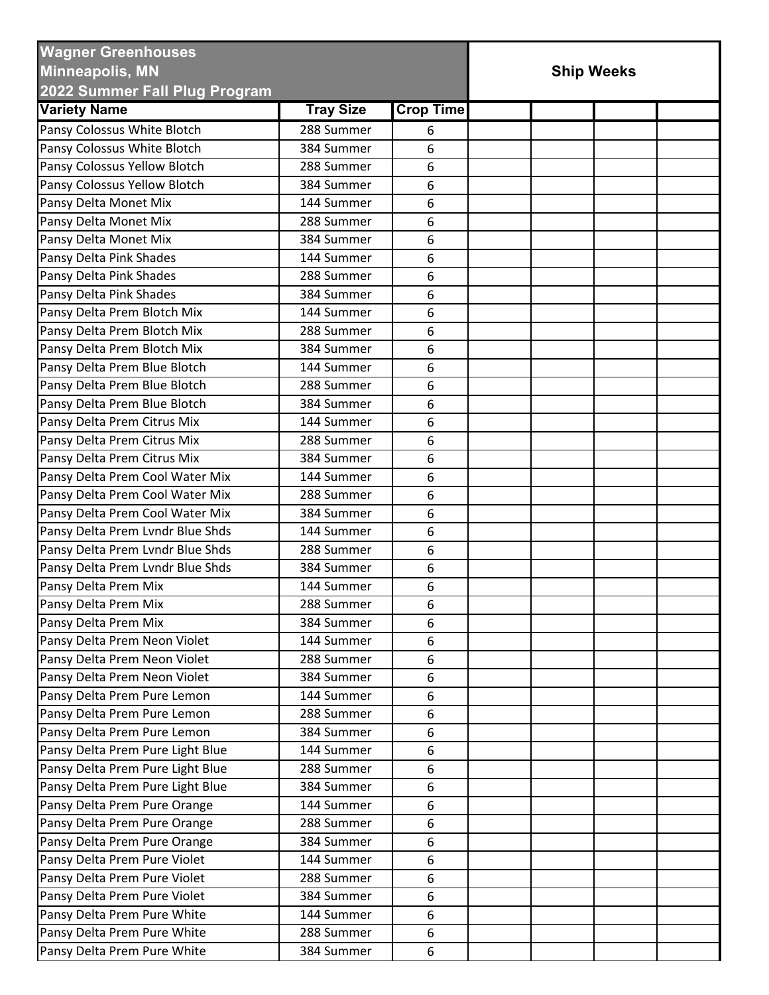| <b>Wagner Greenhouses</b><br><b>Minneapolis, MN</b><br>2022 Summer Fall Plug Program |                  | <b>Ship Weeks</b> |  |  |  |  |
|--------------------------------------------------------------------------------------|------------------|-------------------|--|--|--|--|
| <b>Variety Name</b>                                                                  | <b>Tray Size</b> | <b>Crop Time</b>  |  |  |  |  |
| Pansy Colossus White Blotch                                                          | 288 Summer       | 6                 |  |  |  |  |
| Pansy Colossus White Blotch                                                          | 384 Summer       | 6                 |  |  |  |  |
| Pansy Colossus Yellow Blotch                                                         | 288 Summer       | 6                 |  |  |  |  |
| Pansy Colossus Yellow Blotch                                                         | 384 Summer       | 6                 |  |  |  |  |
| Pansy Delta Monet Mix                                                                | 144 Summer       | 6                 |  |  |  |  |
| Pansy Delta Monet Mix                                                                | 288 Summer       | 6                 |  |  |  |  |
| Pansy Delta Monet Mix                                                                | 384 Summer       | 6                 |  |  |  |  |
| Pansy Delta Pink Shades                                                              | 144 Summer       | 6                 |  |  |  |  |
| Pansy Delta Pink Shades                                                              | 288 Summer       | 6                 |  |  |  |  |
| Pansy Delta Pink Shades                                                              | 384 Summer       | 6                 |  |  |  |  |
| Pansy Delta Prem Blotch Mix                                                          | 144 Summer       | 6                 |  |  |  |  |
| Pansy Delta Prem Blotch Mix                                                          | 288 Summer       | 6                 |  |  |  |  |
| Pansy Delta Prem Blotch Mix                                                          | 384 Summer       | 6                 |  |  |  |  |
| Pansy Delta Prem Blue Blotch                                                         | 144 Summer       | 6                 |  |  |  |  |
| Pansy Delta Prem Blue Blotch                                                         | 288 Summer       | 6                 |  |  |  |  |
| Pansy Delta Prem Blue Blotch                                                         | 384 Summer       | 6                 |  |  |  |  |
| Pansy Delta Prem Citrus Mix                                                          | 144 Summer       | 6                 |  |  |  |  |
| Pansy Delta Prem Citrus Mix                                                          | 288 Summer       | 6                 |  |  |  |  |
| Pansy Delta Prem Citrus Mix                                                          | 384 Summer       | 6                 |  |  |  |  |
| Pansy Delta Prem Cool Water Mix                                                      | 144 Summer       | 6                 |  |  |  |  |
| Pansy Delta Prem Cool Water Mix                                                      | 288 Summer       | 6                 |  |  |  |  |
| Pansy Delta Prem Cool Water Mix                                                      | 384 Summer       | 6                 |  |  |  |  |
| Pansy Delta Prem Lvndr Blue Shds                                                     | 144 Summer       | 6                 |  |  |  |  |
| Pansy Delta Prem Lvndr Blue Shds                                                     | 288 Summer       | 6                 |  |  |  |  |
| Pansy Delta Prem Lvndr Blue Shds                                                     | 384 Summer       | 6                 |  |  |  |  |
| Pansy Delta Prem Mix                                                                 | 144 Summer       | 6                 |  |  |  |  |
| Pansy Delta Prem Mix                                                                 | 288 Summer       | 6                 |  |  |  |  |
| Pansy Delta Prem Mix                                                                 | 384 Summer       | 6                 |  |  |  |  |
| Pansy Delta Prem Neon Violet                                                         | 144 Summer       | 6                 |  |  |  |  |
| Pansy Delta Prem Neon Violet                                                         | 288 Summer       | 6                 |  |  |  |  |
| Pansy Delta Prem Neon Violet                                                         | 384 Summer       | 6                 |  |  |  |  |
| Pansy Delta Prem Pure Lemon                                                          | 144 Summer       | 6                 |  |  |  |  |
| Pansy Delta Prem Pure Lemon                                                          | 288 Summer       | 6                 |  |  |  |  |
| Pansy Delta Prem Pure Lemon                                                          | 384 Summer       | 6                 |  |  |  |  |
| Pansy Delta Prem Pure Light Blue                                                     | 144 Summer       | 6                 |  |  |  |  |
| Pansy Delta Prem Pure Light Blue                                                     | 288 Summer       | 6                 |  |  |  |  |
| Pansy Delta Prem Pure Light Blue                                                     | 384 Summer       | 6                 |  |  |  |  |
| Pansy Delta Prem Pure Orange                                                         | 144 Summer       | 6                 |  |  |  |  |
| Pansy Delta Prem Pure Orange                                                         | 288 Summer       | 6                 |  |  |  |  |
| Pansy Delta Prem Pure Orange                                                         | 384 Summer       | 6                 |  |  |  |  |
| Pansy Delta Prem Pure Violet                                                         | 144 Summer       | 6                 |  |  |  |  |
| Pansy Delta Prem Pure Violet                                                         | 288 Summer       | 6                 |  |  |  |  |
| Pansy Delta Prem Pure Violet                                                         | 384 Summer       | 6                 |  |  |  |  |
| Pansy Delta Prem Pure White                                                          | 144 Summer       | 6                 |  |  |  |  |
| Pansy Delta Prem Pure White                                                          | 288 Summer       | 6                 |  |  |  |  |
| Pansy Delta Prem Pure White                                                          | 384 Summer       | 6                 |  |  |  |  |
|                                                                                      |                  |                   |  |  |  |  |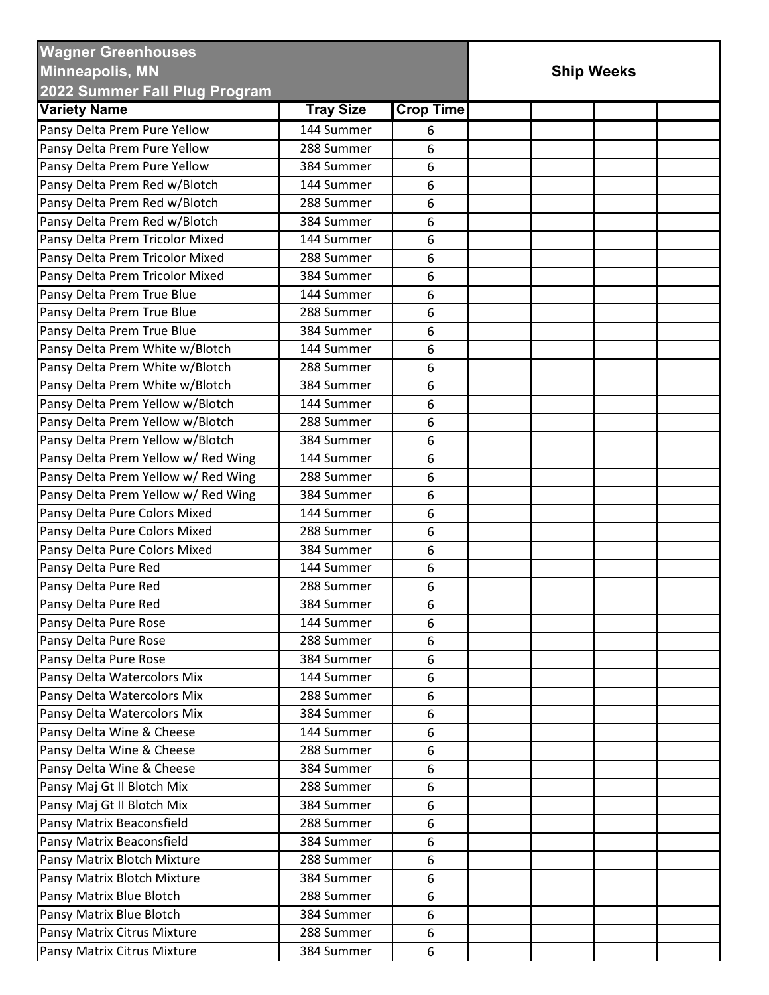| <b>Wagner Greenhouses</b><br><b>Minneapolis, MN</b><br>2022 Summer Fall Plug Program |                  |                  | <b>Ship Weeks</b> |  |
|--------------------------------------------------------------------------------------|------------------|------------------|-------------------|--|
| <b>Variety Name</b>                                                                  | <b>Tray Size</b> | <b>Crop Time</b> |                   |  |
| Pansy Delta Prem Pure Yellow                                                         | 144 Summer       | 6                |                   |  |
| Pansy Delta Prem Pure Yellow                                                         | 288 Summer       | 6                |                   |  |
| Pansy Delta Prem Pure Yellow                                                         | 384 Summer       | 6                |                   |  |
| Pansy Delta Prem Red w/Blotch                                                        | 144 Summer       | 6                |                   |  |
| Pansy Delta Prem Red w/Blotch                                                        | 288 Summer       | 6                |                   |  |
| Pansy Delta Prem Red w/Blotch                                                        | 384 Summer       | 6                |                   |  |
| Pansy Delta Prem Tricolor Mixed                                                      | 144 Summer       | 6                |                   |  |
| Pansy Delta Prem Tricolor Mixed                                                      | 288 Summer       | 6                |                   |  |
| Pansy Delta Prem Tricolor Mixed                                                      | 384 Summer       | 6                |                   |  |
| Pansy Delta Prem True Blue                                                           | 144 Summer       | 6                |                   |  |
| Pansy Delta Prem True Blue                                                           | 288 Summer       | 6                |                   |  |
| Pansy Delta Prem True Blue                                                           | 384 Summer       | 6                |                   |  |
| Pansy Delta Prem White w/Blotch                                                      | 144 Summer       | 6                |                   |  |
| Pansy Delta Prem White w/Blotch                                                      | 288 Summer       | 6                |                   |  |
| Pansy Delta Prem White w/Blotch                                                      | 384 Summer       | 6                |                   |  |
| Pansy Delta Prem Yellow w/Blotch                                                     | 144 Summer       | 6                |                   |  |
| Pansy Delta Prem Yellow w/Blotch                                                     | 288 Summer       | 6                |                   |  |
| Pansy Delta Prem Yellow w/Blotch                                                     | 384 Summer       | 6                |                   |  |
| Pansy Delta Prem Yellow w/ Red Wing                                                  | 144 Summer       | 6                |                   |  |
| Pansy Delta Prem Yellow w/ Red Wing                                                  | 288 Summer       | 6                |                   |  |
| Pansy Delta Prem Yellow w/ Red Wing                                                  | 384 Summer       | 6                |                   |  |
| Pansy Delta Pure Colors Mixed                                                        | 144 Summer       | 6                |                   |  |
| Pansy Delta Pure Colors Mixed                                                        | 288 Summer       | 6                |                   |  |
| Pansy Delta Pure Colors Mixed                                                        | 384 Summer       | 6                |                   |  |
| Pansy Delta Pure Red                                                                 | 144 Summer       | 6                |                   |  |
| Pansy Delta Pure Red                                                                 | 288 Summer       | 6                |                   |  |
| Pansy Delta Pure Red                                                                 | 384 Summer       | 6                |                   |  |
| Pansy Delta Pure Rose                                                                | 144 Summer       | 6                |                   |  |
| Pansy Delta Pure Rose                                                                | 288 Summer       | 6                |                   |  |
| Pansy Delta Pure Rose                                                                | 384 Summer       | 6                |                   |  |
| Pansy Delta Watercolors Mix                                                          | 144 Summer       | 6                |                   |  |
| Pansy Delta Watercolors Mix                                                          | 288 Summer       | 6                |                   |  |
| Pansy Delta Watercolors Mix                                                          | 384 Summer       | 6                |                   |  |
| Pansy Delta Wine & Cheese                                                            | 144 Summer       | 6                |                   |  |
| Pansy Delta Wine & Cheese                                                            | 288 Summer       | 6                |                   |  |
| Pansy Delta Wine & Cheese                                                            | 384 Summer       | 6                |                   |  |
| Pansy Maj Gt II Blotch Mix                                                           | 288 Summer       | 6                |                   |  |
| Pansy Maj Gt II Blotch Mix                                                           | 384 Summer       | 6                |                   |  |
| Pansy Matrix Beaconsfield                                                            | 288 Summer       | 6                |                   |  |
| Pansy Matrix Beaconsfield                                                            | 384 Summer       | 6                |                   |  |
| Pansy Matrix Blotch Mixture                                                          | 288 Summer       | 6                |                   |  |
| Pansy Matrix Blotch Mixture                                                          | 384 Summer       | 6                |                   |  |
| Pansy Matrix Blue Blotch                                                             | 288 Summer       | 6                |                   |  |
| Pansy Matrix Blue Blotch                                                             | 384 Summer       | 6                |                   |  |
| Pansy Matrix Citrus Mixture                                                          | 288 Summer       | 6                |                   |  |
| Pansy Matrix Citrus Mixture                                                          | 384 Summer       | 6                |                   |  |
|                                                                                      |                  |                  |                   |  |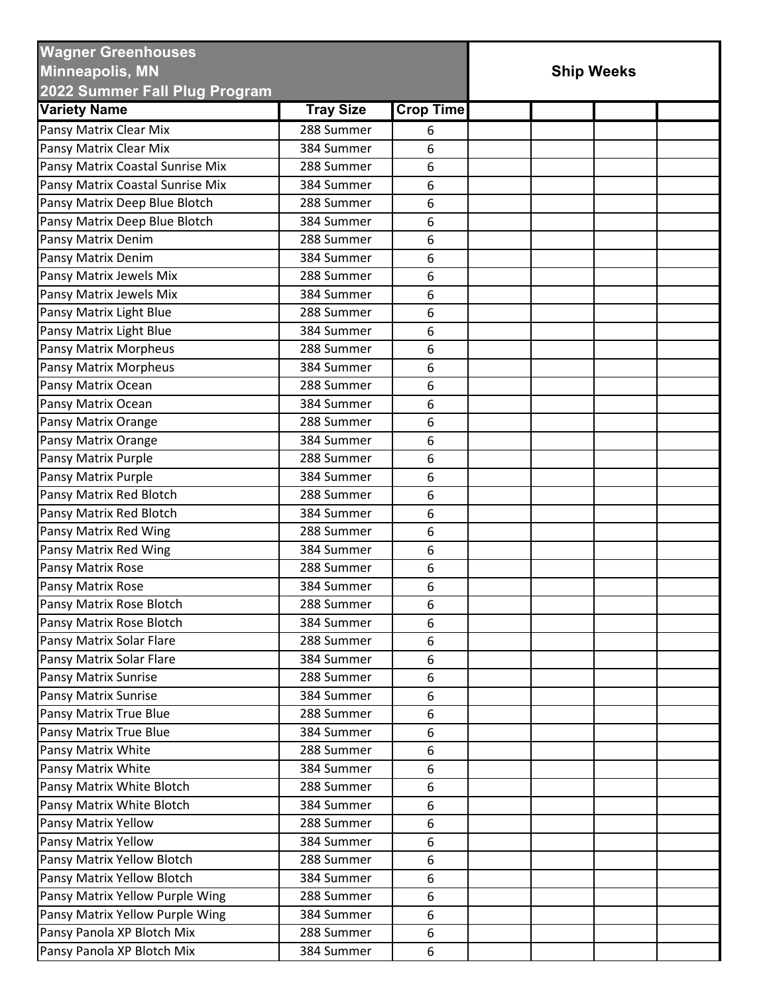| <b>Wagner Greenhouses</b><br><b>Minneapolis, MN</b><br>2022 Summer Fall Plug Program |                  | <b>Ship Weeks</b> |  |  |  |  |
|--------------------------------------------------------------------------------------|------------------|-------------------|--|--|--|--|
| <b>Variety Name</b>                                                                  | <b>Tray Size</b> | <b>Crop Time</b>  |  |  |  |  |
| Pansy Matrix Clear Mix                                                               | 288 Summer       |                   |  |  |  |  |
| Pansy Matrix Clear Mix                                                               | 384 Summer       | 6<br>6            |  |  |  |  |
| Pansy Matrix Coastal Sunrise Mix                                                     | 288 Summer       | 6                 |  |  |  |  |
| Pansy Matrix Coastal Sunrise Mix                                                     | 384 Summer       |                   |  |  |  |  |
| Pansy Matrix Deep Blue Blotch                                                        | 288 Summer       | 6                 |  |  |  |  |
| Pansy Matrix Deep Blue Blotch                                                        | 384 Summer       | 6                 |  |  |  |  |
|                                                                                      |                  | 6                 |  |  |  |  |
| Pansy Matrix Denim                                                                   | 288 Summer       | 6                 |  |  |  |  |
| Pansy Matrix Denim                                                                   | 384 Summer       | 6                 |  |  |  |  |
| Pansy Matrix Jewels Mix                                                              | 288 Summer       | 6                 |  |  |  |  |
| Pansy Matrix Jewels Mix                                                              | 384 Summer       | 6                 |  |  |  |  |
| Pansy Matrix Light Blue                                                              | 288 Summer       | 6                 |  |  |  |  |
| Pansy Matrix Light Blue                                                              | 384 Summer       | 6                 |  |  |  |  |
| Pansy Matrix Morpheus                                                                | 288 Summer       | 6                 |  |  |  |  |
| Pansy Matrix Morpheus                                                                | 384 Summer       | 6                 |  |  |  |  |
| Pansy Matrix Ocean                                                                   | 288 Summer       | 6                 |  |  |  |  |
| Pansy Matrix Ocean                                                                   | 384 Summer       | 6                 |  |  |  |  |
| Pansy Matrix Orange                                                                  | 288 Summer       | 6                 |  |  |  |  |
| Pansy Matrix Orange                                                                  | 384 Summer       | 6                 |  |  |  |  |
| Pansy Matrix Purple                                                                  | 288 Summer       | 6                 |  |  |  |  |
| Pansy Matrix Purple                                                                  | 384 Summer       | 6                 |  |  |  |  |
| Pansy Matrix Red Blotch                                                              | 288 Summer       | 6                 |  |  |  |  |
| Pansy Matrix Red Blotch                                                              | 384 Summer       | 6                 |  |  |  |  |
| Pansy Matrix Red Wing                                                                | 288 Summer       | 6                 |  |  |  |  |
| Pansy Matrix Red Wing                                                                | 384 Summer       | 6                 |  |  |  |  |
| Pansy Matrix Rose                                                                    | 288 Summer       | 6                 |  |  |  |  |
| Pansy Matrix Rose                                                                    | 384 Summer       | 6                 |  |  |  |  |
| Pansy Matrix Rose Blotch                                                             | 288 Summer       | 6                 |  |  |  |  |
| Pansy Matrix Rose Blotch                                                             | 384 Summer       | 6                 |  |  |  |  |
| Pansy Matrix Solar Flare                                                             | 288 Summer       | 6                 |  |  |  |  |
| Pansy Matrix Solar Flare                                                             | 384 Summer       | 6                 |  |  |  |  |
| Pansy Matrix Sunrise                                                                 | 288 Summer       | 6                 |  |  |  |  |
| <b>Pansy Matrix Sunrise</b>                                                          | 384 Summer       | 6                 |  |  |  |  |
| Pansy Matrix True Blue                                                               | 288 Summer       | 6                 |  |  |  |  |
| Pansy Matrix True Blue                                                               | 384 Summer       | 6                 |  |  |  |  |
| Pansy Matrix White                                                                   | 288 Summer       | 6                 |  |  |  |  |
| Pansy Matrix White                                                                   | 384 Summer       | 6                 |  |  |  |  |
| Pansy Matrix White Blotch                                                            | 288 Summer       | 6                 |  |  |  |  |
| Pansy Matrix White Blotch                                                            | 384 Summer       | 6                 |  |  |  |  |
| Pansy Matrix Yellow                                                                  | 288 Summer       | 6                 |  |  |  |  |
| Pansy Matrix Yellow                                                                  | 384 Summer       | 6                 |  |  |  |  |
| Pansy Matrix Yellow Blotch                                                           | 288 Summer       | 6                 |  |  |  |  |
| Pansy Matrix Yellow Blotch                                                           | 384 Summer       | 6                 |  |  |  |  |
| Pansy Matrix Yellow Purple Wing                                                      | 288 Summer       | 6                 |  |  |  |  |
| Pansy Matrix Yellow Purple Wing                                                      | 384 Summer       | 6                 |  |  |  |  |
| Pansy Panola XP Blotch Mix                                                           | 288 Summer       | 6                 |  |  |  |  |
|                                                                                      |                  |                   |  |  |  |  |
| Pansy Panola XP Blotch Mix                                                           | 384 Summer       | 6                 |  |  |  |  |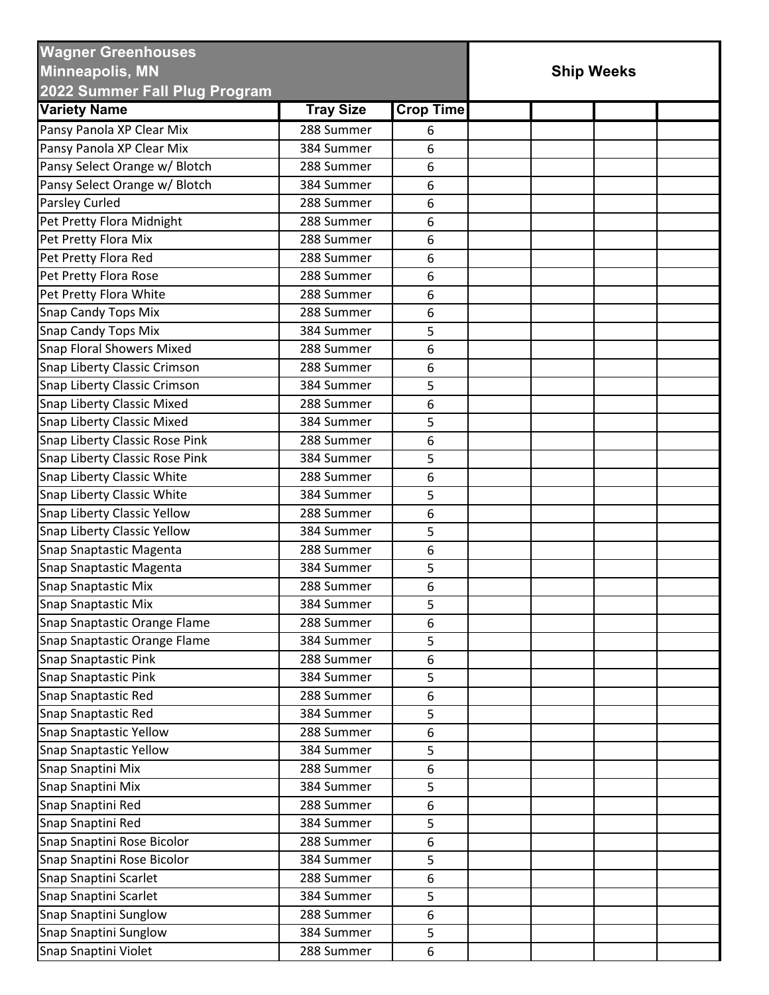| <b>Wagner Greenhouses</b><br><b>Minneapolis, MN</b><br>2022 Summer Fall Plug Program |                          | <b>Ship Weeks</b> |  |  |  |  |
|--------------------------------------------------------------------------------------|--------------------------|-------------------|--|--|--|--|
| <b>Variety Name</b>                                                                  | <b>Tray Size</b>         | <b>Crop Time</b>  |  |  |  |  |
| Pansy Panola XP Clear Mix                                                            | 288 Summer               | 6                 |  |  |  |  |
| Pansy Panola XP Clear Mix                                                            | 384 Summer               | 6                 |  |  |  |  |
| Pansy Select Orange w/ Blotch                                                        | 288 Summer               | 6                 |  |  |  |  |
| Pansy Select Orange w/ Blotch                                                        | 384 Summer               | 6                 |  |  |  |  |
| Parsley Curled                                                                       | 288 Summer               | 6                 |  |  |  |  |
| Pet Pretty Flora Midnight                                                            | 288 Summer               | 6                 |  |  |  |  |
| Pet Pretty Flora Mix                                                                 | 288 Summer               | 6                 |  |  |  |  |
| Pet Pretty Flora Red                                                                 | 288 Summer               | 6                 |  |  |  |  |
| Pet Pretty Flora Rose                                                                | 288 Summer               | 6                 |  |  |  |  |
| Pet Pretty Flora White                                                               | 288 Summer               | 6                 |  |  |  |  |
| <b>Snap Candy Tops Mix</b>                                                           | 288 Summer               | 6                 |  |  |  |  |
| Snap Candy Tops Mix                                                                  | 384 Summer               | 5                 |  |  |  |  |
| <b>Snap Floral Showers Mixed</b>                                                     | 288 Summer               | 6                 |  |  |  |  |
| Snap Liberty Classic Crimson                                                         | 288 Summer               |                   |  |  |  |  |
| Snap Liberty Classic Crimson                                                         | 384 Summer               | 6                 |  |  |  |  |
|                                                                                      |                          | 5                 |  |  |  |  |
| Snap Liberty Classic Mixed                                                           | 288 Summer<br>384 Summer | 6                 |  |  |  |  |
| <b>Snap Liberty Classic Mixed</b>                                                    |                          | 5                 |  |  |  |  |
| Snap Liberty Classic Rose Pink                                                       | 288 Summer               | 6                 |  |  |  |  |
| Snap Liberty Classic Rose Pink                                                       | 384 Summer               | 5                 |  |  |  |  |
| Snap Liberty Classic White                                                           | 288 Summer               | 6                 |  |  |  |  |
| Snap Liberty Classic White                                                           | 384 Summer               | 5                 |  |  |  |  |
| <b>Snap Liberty Classic Yellow</b>                                                   | 288 Summer               | 6                 |  |  |  |  |
| Snap Liberty Classic Yellow                                                          | 384 Summer               | 5                 |  |  |  |  |
| Snap Snaptastic Magenta                                                              | 288 Summer               | 6                 |  |  |  |  |
| Snap Snaptastic Magenta                                                              | 384 Summer               | 5                 |  |  |  |  |
| <b>Snap Snaptastic Mix</b>                                                           | 288 Summer               | 6                 |  |  |  |  |
| Snap Snaptastic Mix                                                                  | 384 Summer               | 5                 |  |  |  |  |
| Snap Snaptastic Orange Flame                                                         | 288 Summer               | 6                 |  |  |  |  |
| Snap Snaptastic Orange Flame                                                         | 384 Summer               | 5                 |  |  |  |  |
| <b>Snap Snaptastic Pink</b>                                                          | 288 Summer               | 6                 |  |  |  |  |
| <b>Snap Snaptastic Pink</b>                                                          | 384 Summer               | 5                 |  |  |  |  |
| Snap Snaptastic Red                                                                  | 288 Summer               | 6                 |  |  |  |  |
| Snap Snaptastic Red                                                                  | 384 Summer               | 5                 |  |  |  |  |
| <b>Snap Snaptastic Yellow</b>                                                        | 288 Summer               | 6                 |  |  |  |  |
| <b>Snap Snaptastic Yellow</b>                                                        | 384 Summer               | 5                 |  |  |  |  |
| Snap Snaptini Mix                                                                    | 288 Summer               | 6                 |  |  |  |  |
| Snap Snaptini Mix                                                                    | 384 Summer               | 5                 |  |  |  |  |
| Snap Snaptini Red                                                                    | 288 Summer               | 6                 |  |  |  |  |
| Snap Snaptini Red                                                                    | 384 Summer               | 5                 |  |  |  |  |
| Snap Snaptini Rose Bicolor                                                           | 288 Summer               | 6                 |  |  |  |  |
| Snap Snaptini Rose Bicolor                                                           | 384 Summer               | 5                 |  |  |  |  |
| Snap Snaptini Scarlet                                                                | 288 Summer               | 6                 |  |  |  |  |
| Snap Snaptini Scarlet                                                                | 384 Summer               | 5                 |  |  |  |  |
| Snap Snaptini Sunglow                                                                | 288 Summer               | 6                 |  |  |  |  |
| Snap Snaptini Sunglow                                                                | 384 Summer               | 5                 |  |  |  |  |
| Snap Snaptini Violet                                                                 | 288 Summer               | 6                 |  |  |  |  |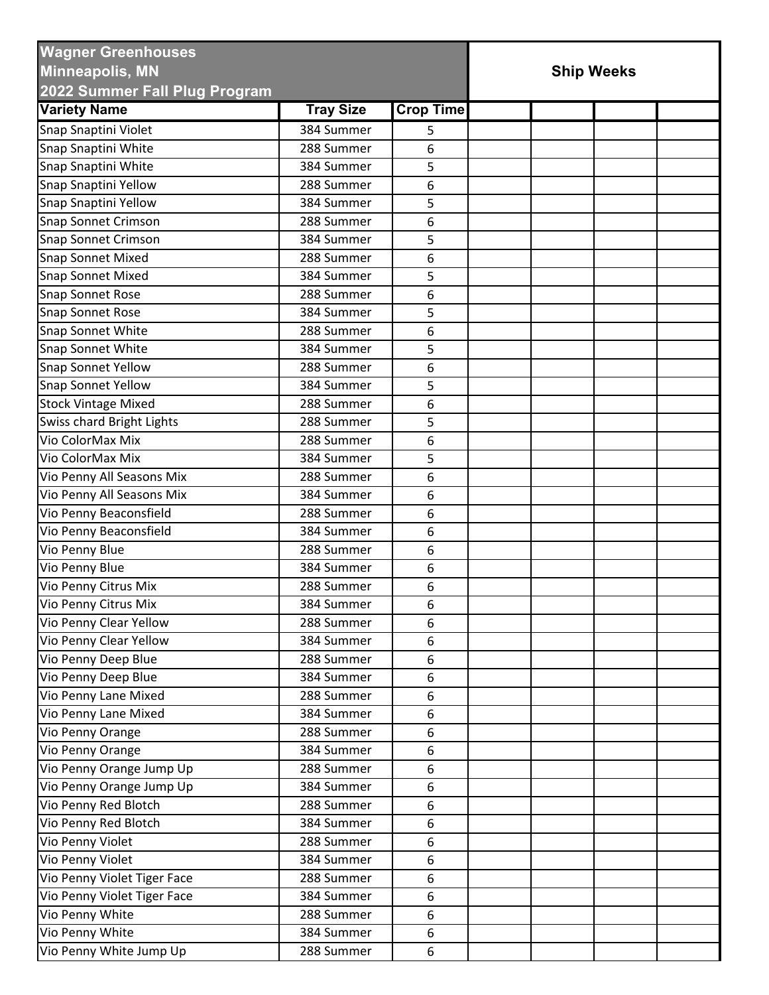| <b>Variety Name</b><br><b>Crop Time</b><br><b>Tray Size</b><br>Snap Snaptini Violet<br>384 Summer<br>5<br>Snap Snaptini White<br>288 Summer<br>6<br>Snap Snaptini White<br>5<br>384 Summer<br>Snap Snaptini Yellow<br>288 Summer<br>6<br>Snap Snaptini Yellow<br>384 Summer<br>5<br><b>Snap Sonnet Crimson</b><br>288 Summer<br>6<br>Snap Sonnet Crimson<br>5<br>384 Summer<br>6<br><b>Snap Sonnet Mixed</b><br>288 Summer<br><b>Snap Sonnet Mixed</b><br>384 Summer<br>5<br>Snap Sonnet Rose<br>6<br>288 Summer<br><b>Snap Sonnet Rose</b><br>384 Summer<br>5<br>Snap Sonnet White<br>288 Summer<br>6<br>Snap Sonnet White<br>384 Summer<br>5<br>Snap Sonnet Yellow<br>288 Summer<br>6<br>Snap Sonnet Yellow<br>384 Summer<br>5<br><b>Stock Vintage Mixed</b><br>288 Summer<br>6<br>Swiss chard Bright Lights<br>288 Summer<br>5<br>Vio ColorMax Mix<br>288 Summer<br>6<br>Vio ColorMax Mix<br>384 Summer<br>5<br>6<br>288 Summer<br>Vio Penny All Seasons Mix<br>Vio Penny All Seasons Mix<br>384 Summer<br>6<br>Vio Penny Beaconsfield<br>6<br>288 Summer<br>Vio Penny Beaconsfield<br>384 Summer<br>6<br>Vio Penny Blue<br>288 Summer<br>6<br>Vio Penny Blue<br>384 Summer<br>6<br>Vio Penny Citrus Mix<br>288 Summer<br>6<br>Vio Penny Citrus Mix<br>384 Summer<br>6<br>Vio Penny Clear Yellow<br>6<br>288 Summer<br>Vio Penny Clear Yellow<br>6<br>384 Summer<br>Vio Penny Deep Blue<br>288 Summer<br>6<br>Vio Penny Deep Blue<br>384 Summer<br>6<br>Vio Penny Lane Mixed<br>288 Summer<br>6<br>Vio Penny Lane Mixed<br>384 Summer<br>6<br>6<br>Vio Penny Orange<br>288 Summer<br>Vio Penny Orange<br>384 Summer<br>6<br>Vio Penny Orange Jump Up<br>288 Summer<br>6<br>Vio Penny Orange Jump Up<br>384 Summer<br>6<br>Vio Penny Red Blotch<br>288 Summer<br>6<br>Vio Penny Red Blotch<br>384 Summer<br>6<br>Vio Penny Violet<br>288 Summer<br>6<br>Vio Penny Violet<br>6<br>384 Summer<br>Vio Penny Violet Tiger Face<br>288 Summer<br>6<br>Vio Penny Violet Tiger Face<br>384 Summer<br>6<br>Vio Penny White<br>288 Summer<br>6<br>Vio Penny White<br>384 Summer<br>6 | <b>Wagner Greenhouses</b><br><b>Minneapolis, MN</b><br>2022 Summer Fall Plug Program |            | <b>Ship Weeks</b> |  |  |  |  |
|-------------------------------------------------------------------------------------------------------------------------------------------------------------------------------------------------------------------------------------------------------------------------------------------------------------------------------------------------------------------------------------------------------------------------------------------------------------------------------------------------------------------------------------------------------------------------------------------------------------------------------------------------------------------------------------------------------------------------------------------------------------------------------------------------------------------------------------------------------------------------------------------------------------------------------------------------------------------------------------------------------------------------------------------------------------------------------------------------------------------------------------------------------------------------------------------------------------------------------------------------------------------------------------------------------------------------------------------------------------------------------------------------------------------------------------------------------------------------------------------------------------------------------------------------------------------------------------------------------------------------------------------------------------------------------------------------------------------------------------------------------------------------------------------------------------------------------------------------------------------------------------------------------------------------------------------------------------------------------------------------------------------------------------------------------------------------------|--------------------------------------------------------------------------------------|------------|-------------------|--|--|--|--|
|                                                                                                                                                                                                                                                                                                                                                                                                                                                                                                                                                                                                                                                                                                                                                                                                                                                                                                                                                                                                                                                                                                                                                                                                                                                                                                                                                                                                                                                                                                                                                                                                                                                                                                                                                                                                                                                                                                                                                                                                                                                                               |                                                                                      |            |                   |  |  |  |  |
|                                                                                                                                                                                                                                                                                                                                                                                                                                                                                                                                                                                                                                                                                                                                                                                                                                                                                                                                                                                                                                                                                                                                                                                                                                                                                                                                                                                                                                                                                                                                                                                                                                                                                                                                                                                                                                                                                                                                                                                                                                                                               |                                                                                      |            |                   |  |  |  |  |
|                                                                                                                                                                                                                                                                                                                                                                                                                                                                                                                                                                                                                                                                                                                                                                                                                                                                                                                                                                                                                                                                                                                                                                                                                                                                                                                                                                                                                                                                                                                                                                                                                                                                                                                                                                                                                                                                                                                                                                                                                                                                               |                                                                                      |            |                   |  |  |  |  |
|                                                                                                                                                                                                                                                                                                                                                                                                                                                                                                                                                                                                                                                                                                                                                                                                                                                                                                                                                                                                                                                                                                                                                                                                                                                                                                                                                                                                                                                                                                                                                                                                                                                                                                                                                                                                                                                                                                                                                                                                                                                                               |                                                                                      |            |                   |  |  |  |  |
|                                                                                                                                                                                                                                                                                                                                                                                                                                                                                                                                                                                                                                                                                                                                                                                                                                                                                                                                                                                                                                                                                                                                                                                                                                                                                                                                                                                                                                                                                                                                                                                                                                                                                                                                                                                                                                                                                                                                                                                                                                                                               |                                                                                      |            |                   |  |  |  |  |
|                                                                                                                                                                                                                                                                                                                                                                                                                                                                                                                                                                                                                                                                                                                                                                                                                                                                                                                                                                                                                                                                                                                                                                                                                                                                                                                                                                                                                                                                                                                                                                                                                                                                                                                                                                                                                                                                                                                                                                                                                                                                               |                                                                                      |            |                   |  |  |  |  |
|                                                                                                                                                                                                                                                                                                                                                                                                                                                                                                                                                                                                                                                                                                                                                                                                                                                                                                                                                                                                                                                                                                                                                                                                                                                                                                                                                                                                                                                                                                                                                                                                                                                                                                                                                                                                                                                                                                                                                                                                                                                                               |                                                                                      |            |                   |  |  |  |  |
|                                                                                                                                                                                                                                                                                                                                                                                                                                                                                                                                                                                                                                                                                                                                                                                                                                                                                                                                                                                                                                                                                                                                                                                                                                                                                                                                                                                                                                                                                                                                                                                                                                                                                                                                                                                                                                                                                                                                                                                                                                                                               |                                                                                      |            |                   |  |  |  |  |
|                                                                                                                                                                                                                                                                                                                                                                                                                                                                                                                                                                                                                                                                                                                                                                                                                                                                                                                                                                                                                                                                                                                                                                                                                                                                                                                                                                                                                                                                                                                                                                                                                                                                                                                                                                                                                                                                                                                                                                                                                                                                               |                                                                                      |            |                   |  |  |  |  |
|                                                                                                                                                                                                                                                                                                                                                                                                                                                                                                                                                                                                                                                                                                                                                                                                                                                                                                                                                                                                                                                                                                                                                                                                                                                                                                                                                                                                                                                                                                                                                                                                                                                                                                                                                                                                                                                                                                                                                                                                                                                                               |                                                                                      |            |                   |  |  |  |  |
|                                                                                                                                                                                                                                                                                                                                                                                                                                                                                                                                                                                                                                                                                                                                                                                                                                                                                                                                                                                                                                                                                                                                                                                                                                                                                                                                                                                                                                                                                                                                                                                                                                                                                                                                                                                                                                                                                                                                                                                                                                                                               |                                                                                      |            |                   |  |  |  |  |
|                                                                                                                                                                                                                                                                                                                                                                                                                                                                                                                                                                                                                                                                                                                                                                                                                                                                                                                                                                                                                                                                                                                                                                                                                                                                                                                                                                                                                                                                                                                                                                                                                                                                                                                                                                                                                                                                                                                                                                                                                                                                               |                                                                                      |            |                   |  |  |  |  |
|                                                                                                                                                                                                                                                                                                                                                                                                                                                                                                                                                                                                                                                                                                                                                                                                                                                                                                                                                                                                                                                                                                                                                                                                                                                                                                                                                                                                                                                                                                                                                                                                                                                                                                                                                                                                                                                                                                                                                                                                                                                                               |                                                                                      |            |                   |  |  |  |  |
|                                                                                                                                                                                                                                                                                                                                                                                                                                                                                                                                                                                                                                                                                                                                                                                                                                                                                                                                                                                                                                                                                                                                                                                                                                                                                                                                                                                                                                                                                                                                                                                                                                                                                                                                                                                                                                                                                                                                                                                                                                                                               |                                                                                      |            |                   |  |  |  |  |
|                                                                                                                                                                                                                                                                                                                                                                                                                                                                                                                                                                                                                                                                                                                                                                                                                                                                                                                                                                                                                                                                                                                                                                                                                                                                                                                                                                                                                                                                                                                                                                                                                                                                                                                                                                                                                                                                                                                                                                                                                                                                               |                                                                                      |            |                   |  |  |  |  |
|                                                                                                                                                                                                                                                                                                                                                                                                                                                                                                                                                                                                                                                                                                                                                                                                                                                                                                                                                                                                                                                                                                                                                                                                                                                                                                                                                                                                                                                                                                                                                                                                                                                                                                                                                                                                                                                                                                                                                                                                                                                                               |                                                                                      |            |                   |  |  |  |  |
|                                                                                                                                                                                                                                                                                                                                                                                                                                                                                                                                                                                                                                                                                                                                                                                                                                                                                                                                                                                                                                                                                                                                                                                                                                                                                                                                                                                                                                                                                                                                                                                                                                                                                                                                                                                                                                                                                                                                                                                                                                                                               |                                                                                      |            |                   |  |  |  |  |
|                                                                                                                                                                                                                                                                                                                                                                                                                                                                                                                                                                                                                                                                                                                                                                                                                                                                                                                                                                                                                                                                                                                                                                                                                                                                                                                                                                                                                                                                                                                                                                                                                                                                                                                                                                                                                                                                                                                                                                                                                                                                               |                                                                                      |            |                   |  |  |  |  |
|                                                                                                                                                                                                                                                                                                                                                                                                                                                                                                                                                                                                                                                                                                                                                                                                                                                                                                                                                                                                                                                                                                                                                                                                                                                                                                                                                                                                                                                                                                                                                                                                                                                                                                                                                                                                                                                                                                                                                                                                                                                                               |                                                                                      |            |                   |  |  |  |  |
|                                                                                                                                                                                                                                                                                                                                                                                                                                                                                                                                                                                                                                                                                                                                                                                                                                                                                                                                                                                                                                                                                                                                                                                                                                                                                                                                                                                                                                                                                                                                                                                                                                                                                                                                                                                                                                                                                                                                                                                                                                                                               |                                                                                      |            |                   |  |  |  |  |
|                                                                                                                                                                                                                                                                                                                                                                                                                                                                                                                                                                                                                                                                                                                                                                                                                                                                                                                                                                                                                                                                                                                                                                                                                                                                                                                                                                                                                                                                                                                                                                                                                                                                                                                                                                                                                                                                                                                                                                                                                                                                               |                                                                                      |            |                   |  |  |  |  |
|                                                                                                                                                                                                                                                                                                                                                                                                                                                                                                                                                                                                                                                                                                                                                                                                                                                                                                                                                                                                                                                                                                                                                                                                                                                                                                                                                                                                                                                                                                                                                                                                                                                                                                                                                                                                                                                                                                                                                                                                                                                                               |                                                                                      |            |                   |  |  |  |  |
|                                                                                                                                                                                                                                                                                                                                                                                                                                                                                                                                                                                                                                                                                                                                                                                                                                                                                                                                                                                                                                                                                                                                                                                                                                                                                                                                                                                                                                                                                                                                                                                                                                                                                                                                                                                                                                                                                                                                                                                                                                                                               |                                                                                      |            |                   |  |  |  |  |
|                                                                                                                                                                                                                                                                                                                                                                                                                                                                                                                                                                                                                                                                                                                                                                                                                                                                                                                                                                                                                                                                                                                                                                                                                                                                                                                                                                                                                                                                                                                                                                                                                                                                                                                                                                                                                                                                                                                                                                                                                                                                               |                                                                                      |            |                   |  |  |  |  |
|                                                                                                                                                                                                                                                                                                                                                                                                                                                                                                                                                                                                                                                                                                                                                                                                                                                                                                                                                                                                                                                                                                                                                                                                                                                                                                                                                                                                                                                                                                                                                                                                                                                                                                                                                                                                                                                                                                                                                                                                                                                                               |                                                                                      |            |                   |  |  |  |  |
|                                                                                                                                                                                                                                                                                                                                                                                                                                                                                                                                                                                                                                                                                                                                                                                                                                                                                                                                                                                                                                                                                                                                                                                                                                                                                                                                                                                                                                                                                                                                                                                                                                                                                                                                                                                                                                                                                                                                                                                                                                                                               |                                                                                      |            |                   |  |  |  |  |
|                                                                                                                                                                                                                                                                                                                                                                                                                                                                                                                                                                                                                                                                                                                                                                                                                                                                                                                                                                                                                                                                                                                                                                                                                                                                                                                                                                                                                                                                                                                                                                                                                                                                                                                                                                                                                                                                                                                                                                                                                                                                               |                                                                                      |            |                   |  |  |  |  |
|                                                                                                                                                                                                                                                                                                                                                                                                                                                                                                                                                                                                                                                                                                                                                                                                                                                                                                                                                                                                                                                                                                                                                                                                                                                                                                                                                                                                                                                                                                                                                                                                                                                                                                                                                                                                                                                                                                                                                                                                                                                                               |                                                                                      |            |                   |  |  |  |  |
|                                                                                                                                                                                                                                                                                                                                                                                                                                                                                                                                                                                                                                                                                                                                                                                                                                                                                                                                                                                                                                                                                                                                                                                                                                                                                                                                                                                                                                                                                                                                                                                                                                                                                                                                                                                                                                                                                                                                                                                                                                                                               |                                                                                      |            |                   |  |  |  |  |
|                                                                                                                                                                                                                                                                                                                                                                                                                                                                                                                                                                                                                                                                                                                                                                                                                                                                                                                                                                                                                                                                                                                                                                                                                                                                                                                                                                                                                                                                                                                                                                                                                                                                                                                                                                                                                                                                                                                                                                                                                                                                               |                                                                                      |            |                   |  |  |  |  |
|                                                                                                                                                                                                                                                                                                                                                                                                                                                                                                                                                                                                                                                                                                                                                                                                                                                                                                                                                                                                                                                                                                                                                                                                                                                                                                                                                                                                                                                                                                                                                                                                                                                                                                                                                                                                                                                                                                                                                                                                                                                                               |                                                                                      |            |                   |  |  |  |  |
|                                                                                                                                                                                                                                                                                                                                                                                                                                                                                                                                                                                                                                                                                                                                                                                                                                                                                                                                                                                                                                                                                                                                                                                                                                                                                                                                                                                                                                                                                                                                                                                                                                                                                                                                                                                                                                                                                                                                                                                                                                                                               |                                                                                      |            |                   |  |  |  |  |
|                                                                                                                                                                                                                                                                                                                                                                                                                                                                                                                                                                                                                                                                                                                                                                                                                                                                                                                                                                                                                                                                                                                                                                                                                                                                                                                                                                                                                                                                                                                                                                                                                                                                                                                                                                                                                                                                                                                                                                                                                                                                               |                                                                                      |            |                   |  |  |  |  |
|                                                                                                                                                                                                                                                                                                                                                                                                                                                                                                                                                                                                                                                                                                                                                                                                                                                                                                                                                                                                                                                                                                                                                                                                                                                                                                                                                                                                                                                                                                                                                                                                                                                                                                                                                                                                                                                                                                                                                                                                                                                                               |                                                                                      |            |                   |  |  |  |  |
|                                                                                                                                                                                                                                                                                                                                                                                                                                                                                                                                                                                                                                                                                                                                                                                                                                                                                                                                                                                                                                                                                                                                                                                                                                                                                                                                                                                                                                                                                                                                                                                                                                                                                                                                                                                                                                                                                                                                                                                                                                                                               |                                                                                      |            |                   |  |  |  |  |
|                                                                                                                                                                                                                                                                                                                                                                                                                                                                                                                                                                                                                                                                                                                                                                                                                                                                                                                                                                                                                                                                                                                                                                                                                                                                                                                                                                                                                                                                                                                                                                                                                                                                                                                                                                                                                                                                                                                                                                                                                                                                               |                                                                                      |            |                   |  |  |  |  |
|                                                                                                                                                                                                                                                                                                                                                                                                                                                                                                                                                                                                                                                                                                                                                                                                                                                                                                                                                                                                                                                                                                                                                                                                                                                                                                                                                                                                                                                                                                                                                                                                                                                                                                                                                                                                                                                                                                                                                                                                                                                                               |                                                                                      |            |                   |  |  |  |  |
|                                                                                                                                                                                                                                                                                                                                                                                                                                                                                                                                                                                                                                                                                                                                                                                                                                                                                                                                                                                                                                                                                                                                                                                                                                                                                                                                                                                                                                                                                                                                                                                                                                                                                                                                                                                                                                                                                                                                                                                                                                                                               |                                                                                      |            |                   |  |  |  |  |
|                                                                                                                                                                                                                                                                                                                                                                                                                                                                                                                                                                                                                                                                                                                                                                                                                                                                                                                                                                                                                                                                                                                                                                                                                                                                                                                                                                                                                                                                                                                                                                                                                                                                                                                                                                                                                                                                                                                                                                                                                                                                               |                                                                                      |            |                   |  |  |  |  |
|                                                                                                                                                                                                                                                                                                                                                                                                                                                                                                                                                                                                                                                                                                                                                                                                                                                                                                                                                                                                                                                                                                                                                                                                                                                                                                                                                                                                                                                                                                                                                                                                                                                                                                                                                                                                                                                                                                                                                                                                                                                                               |                                                                                      |            |                   |  |  |  |  |
|                                                                                                                                                                                                                                                                                                                                                                                                                                                                                                                                                                                                                                                                                                                                                                                                                                                                                                                                                                                                                                                                                                                                                                                                                                                                                                                                                                                                                                                                                                                                                                                                                                                                                                                                                                                                                                                                                                                                                                                                                                                                               |                                                                                      |            |                   |  |  |  |  |
|                                                                                                                                                                                                                                                                                                                                                                                                                                                                                                                                                                                                                                                                                                                                                                                                                                                                                                                                                                                                                                                                                                                                                                                                                                                                                                                                                                                                                                                                                                                                                                                                                                                                                                                                                                                                                                                                                                                                                                                                                                                                               |                                                                                      |            |                   |  |  |  |  |
|                                                                                                                                                                                                                                                                                                                                                                                                                                                                                                                                                                                                                                                                                                                                                                                                                                                                                                                                                                                                                                                                                                                                                                                                                                                                                                                                                                                                                                                                                                                                                                                                                                                                                                                                                                                                                                                                                                                                                                                                                                                                               |                                                                                      |            |                   |  |  |  |  |
|                                                                                                                                                                                                                                                                                                                                                                                                                                                                                                                                                                                                                                                                                                                                                                                                                                                                                                                                                                                                                                                                                                                                                                                                                                                                                                                                                                                                                                                                                                                                                                                                                                                                                                                                                                                                                                                                                                                                                                                                                                                                               |                                                                                      |            |                   |  |  |  |  |
|                                                                                                                                                                                                                                                                                                                                                                                                                                                                                                                                                                                                                                                                                                                                                                                                                                                                                                                                                                                                                                                                                                                                                                                                                                                                                                                                                                                                                                                                                                                                                                                                                                                                                                                                                                                                                                                                                                                                                                                                                                                                               |                                                                                      |            |                   |  |  |  |  |
|                                                                                                                                                                                                                                                                                                                                                                                                                                                                                                                                                                                                                                                                                                                                                                                                                                                                                                                                                                                                                                                                                                                                                                                                                                                                                                                                                                                                                                                                                                                                                                                                                                                                                                                                                                                                                                                                                                                                                                                                                                                                               |                                                                                      |            |                   |  |  |  |  |
|                                                                                                                                                                                                                                                                                                                                                                                                                                                                                                                                                                                                                                                                                                                                                                                                                                                                                                                                                                                                                                                                                                                                                                                                                                                                                                                                                                                                                                                                                                                                                                                                                                                                                                                                                                                                                                                                                                                                                                                                                                                                               |                                                                                      |            |                   |  |  |  |  |
|                                                                                                                                                                                                                                                                                                                                                                                                                                                                                                                                                                                                                                                                                                                                                                                                                                                                                                                                                                                                                                                                                                                                                                                                                                                                                                                                                                                                                                                                                                                                                                                                                                                                                                                                                                                                                                                                                                                                                                                                                                                                               | Vio Penny White Jump Up                                                              | 288 Summer | 6                 |  |  |  |  |